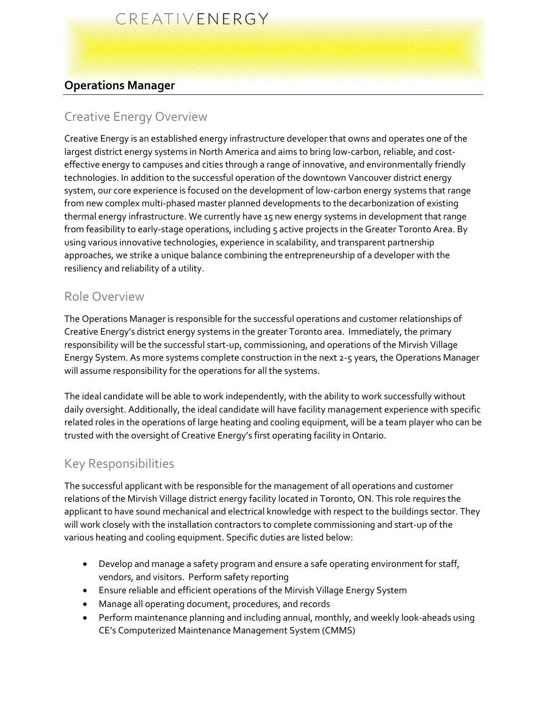# CREATIVENERGY

## **Operations Manager**

## Creative Energy Overview

Creative Energy is an established energy infrastructure developer that owns and operates one of the largest district energy systems in North America and aims to bring low-carbon, reliable, and costeffective energy to campuses and cities through a range of innovative, and environmentally friendly technologies. In addition to the successful operation of the downtown Vancouver district energy system, our core experience is focused on the development of low-carbon energy systems that range from new complex multi-phased master planned developments to the decarbonization of existing thermal energy infrastructure. We currently have 15 new energy systems in development that range from feasibility to early-stage operations, including 5 active projects in the Greater Toronto Area. By using various innovative technologies, experience in scalability, and transparent partnership approaches, we strike a unique balance combining the entrepreneurship of a developer with the resiliency and reliability of a utility.

#### Role Overview

The Operations Manager is responsible for the successful operations and customer relationships of Creative Energy's district energy systems in the greater Toronto area. Immediately, the primary responsibility will be the successful start-up, commissioning, and operations of the Mirvish Village Energy System. As more systems complete construction in the next 2-5 years, the Operations Manager will assume responsibility for the operations for all the systems.

The ideal candidate will be able to work independently, with the ability to work successfully without daily oversight. Additionally, the ideal candidate will have facility management experience with specific related roles in the operations of large heating and cooling equipment, will be a team player who can be trusted with the oversight of Creative Energy's first operating facility in Ontario.

### Key Responsibilities

The successful applicant with be responsible for the management of all operations and customer relations of the Mirvish Village district energy facility located in Toronto, ON. This role requires the applicant to have sound mechanical and electrical knowledge with respect to the buildings sector. They will work closely with the installation contractors to complete commissioning and start-up of the various heating and cooling equipment. Specific duties are listed below:

- Develop and manage a safety program and ensure a safe operating environment for staff, vendors, and visitors. Perform safety reporting
- Ensure reliable and efficient operations of the Mirvish Village Energy System
- Manage all operating document, procedures, and records
- Perform maintenance planning and including annual, monthly, and weekly look-aheads using CE's Computerized Maintenance Management System (CMMS)